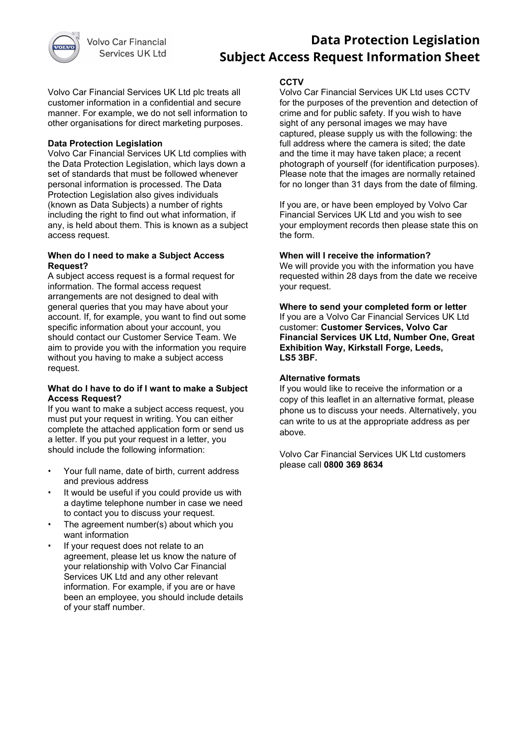

# Data Protection Legislation Subject Access Request Information Sheet

Volvo Car Financial Services UK Ltd plc treats all customer information in a confidential and secure manner. For example, we do not sell information to other organisations for direct marketing purposes.

#### Data Protection Legislation

Volvo Car Financial Services UK Ltd complies with the Data Protection Legislation, which lays down a set of standards that must be followed whenever personal information is processed. The Data Protection Legislation also gives individuals (known as Data Subjects) a number of rights including the right to find out what information, if any, is held about them. This is known as a subject access request.

#### When do I need to make a Subject Access Request?

A subject access request is a formal request for information. The formal access request arrangements are not designed to deal with general queries that you may have about your account. If, for example, you want to find out some specific information about your account, you should contact our Customer Service Team. We aim to provide you with the information you require without you having to make a subject access request.

#### What do I have to do if I want to make a Subject Access Request?

If you want to make a subject access request, you must put your request in writing. You can either complete the attached application form or send us a letter. If you put your request in a letter, you should include the following information:

- Your full name, date of birth, current address and previous address
- It would be useful if you could provide us with a daytime telephone number in case we need to contact you to discuss your request.
- The agreement number(s) about which you want information
- If your request does not relate to an agreement, please let us know the nature of your relationship with Volvo Car Financial Services UK Ltd and any other relevant information. For example, if you are or have been an employee, you should include details of your staff number.

#### **CCTV**

Volvo Car Financial Services UK Ltd uses CCTV for the purposes of the prevention and detection of crime and for public safety. If you wish to have sight of any personal images we may have captured, please supply us with the following: the full address where the camera is sited; the date and the time it may have taken place; a recent photograph of yourself (for identification purposes). Please note that the images are normally retained for no longer than 31 days from the date of filming.

If you are, or have been employed by Volvo Car Financial Services UK Ltd and you wish to see your employment records then please state this on the form.

## When will I receive the information?

We will provide you with the information you have requested within 28 days from the date we receive your request.

Where to send your completed form or letter If you are a Volvo Car Financial Services UK Ltd customer: Customer Services, Volvo Car Financial Services UK Ltd, Number One, Great Exhibition Way, Kirkstall Forge, Leeds, LS5 3BF.

## Alternative formats

If you would like to receive the information or a copy of this leaflet in an alternative format, please phone us to discuss your needs. Alternatively, you can write to us at the appropriate address as per above.

Volvo Car Financial Services UK Ltd customers please call 0800 369 8634